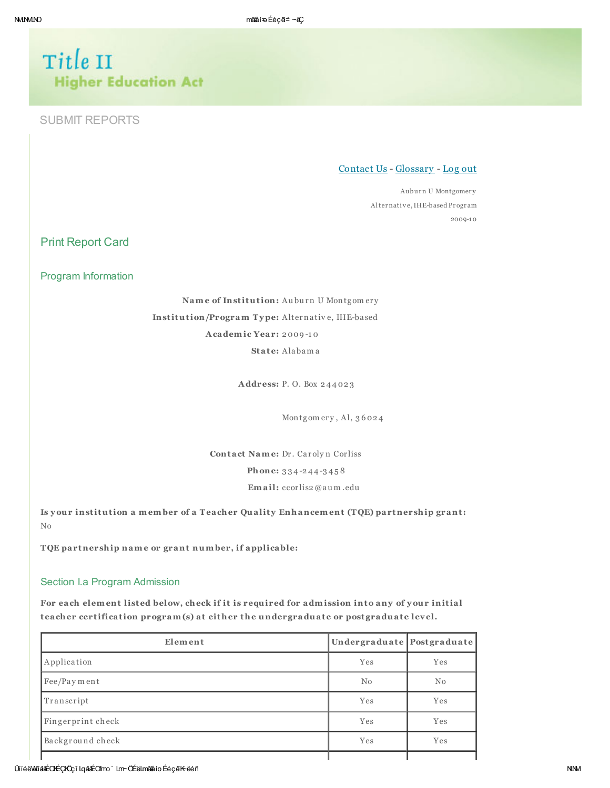# Title II **Higher Education Act**

# **SUBMIT REPORTS**

Contact Us - Glossary - Log out

Auburn U Montgomery Alternative, IHE-based Program  $2009 - 10$ 

**Print Report Card** 

Program Information

Name of Institution: Auburn U Montgomery Institution/Program Type: Alternative, IHE-based Academic Year: 2009-10 State: Alabama

Address: P.O. Box 244023

Montgomery, Al, 36024

Contact Name: Dr. Carolyn Corliss Phone: 334-244-3458 Email: ccorlis2@aum.edu

Is your institution a member of a Teacher Quality Enhancement (TQE) partnership grant:  $_{\rm No}$ 

TQE partnership name or grant number, if applicable:

## Section I.a Program Admission

For each element listed below, check if it is required for admission into any of your initial teacher certification program(s) at either the undergraduate or postgraduate level.

| Element           | Undergraduate Postgraduate |     |  |
|-------------------|----------------------------|-----|--|
| Application       | Yes                        | Yes |  |
| Fee/Payment       | No                         | No  |  |
| Transcript        | Yes                        | Yes |  |
| Fingerprint check | Yes                        | Yes |  |
| Background check  | Yes                        | Yes |  |
|                   |                            |     |  |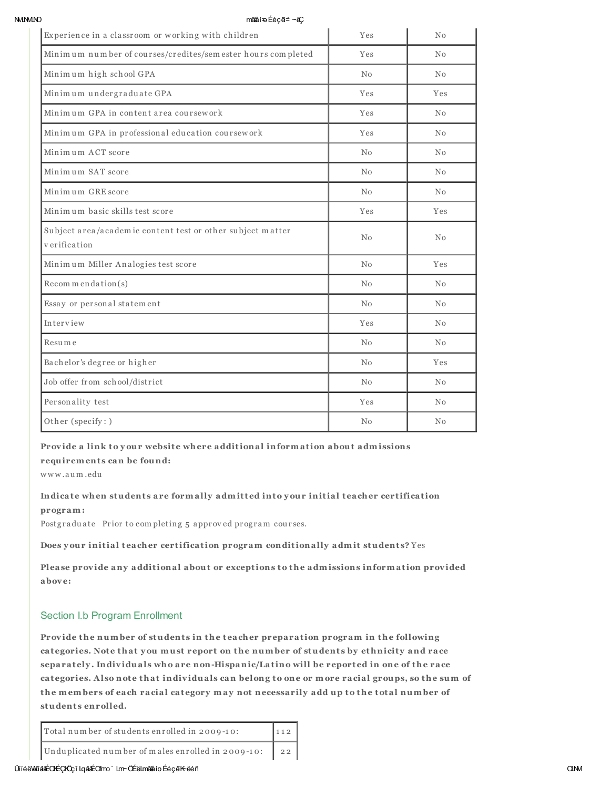**MMMO** 

#### mênâí÷o Ééçã≐ ∼êÇ

| Experience in a classroom or working with children                         | Yes | No             |
|----------------------------------------------------------------------------|-----|----------------|
| Minimum number of courses/credites/sem ester hours completed               | Yes | N <sub>0</sub> |
| Minimum high school GPA                                                    | No  | No             |
| Minimum undergraduate GPA                                                  | Yes | Yes            |
| Minimum GPA in content area coursework                                     | Yes | No             |
| Minimum GPA in professional education coursework                           | Yes | N <sub>0</sub> |
| Minimum ACT score                                                          | No  | No             |
| Minimum SAT score                                                          | No  | No             |
| Minimum GRE score                                                          | No  | No             |
| Minimum basic skills test score                                            | Yes | Yes            |
| Subject area/academic content test or other subject matter<br>verification | No  | No             |
| Minimum Miller Analogies test score                                        | No  | Yes            |
| Recommendation(s)                                                          | No  | No             |
| Essay or personal statement                                                | No  | No             |
| Interview                                                                  | Yes | No             |
| Resume                                                                     | No  | No             |
| Bachelor's degree or higher                                                | No  | Yes            |
| Job offer from school/district                                             | No  | No             |
| Personality test                                                           | Yes | No             |
| Other (specify:)                                                           | No  | No             |

#### Provide a link to your website where additional information about admissions

requirements can be found:

www.aum.edu

# Indicate when students are formally admitted into your initial teacher certification program:

Postgraduate Prior to completing 5 approved program courses.

Does your initial teacher certification program conditionally admit students? Yes

Please provide any additional about or exceptions to the admissions information provided above:

## Section I.b Program Enrollment

Provide the number of students in the teacher preparation program in the following categories. Note that you must report on the number of students by ethnicity and race separately. Individuals who are non-Hispanic/Latino will be reported in one of the race categories. Also note that individuals can belong to one or more racial groups, so the sum of the members of each racial category may not necessarily add up to the total number of students enrolled.

| Total number of students enrolled in 2009-10:        | $\vert$ 112 |
|------------------------------------------------------|-------------|
| Unduplicated number of males enrolled in 2009-10: 22 |             |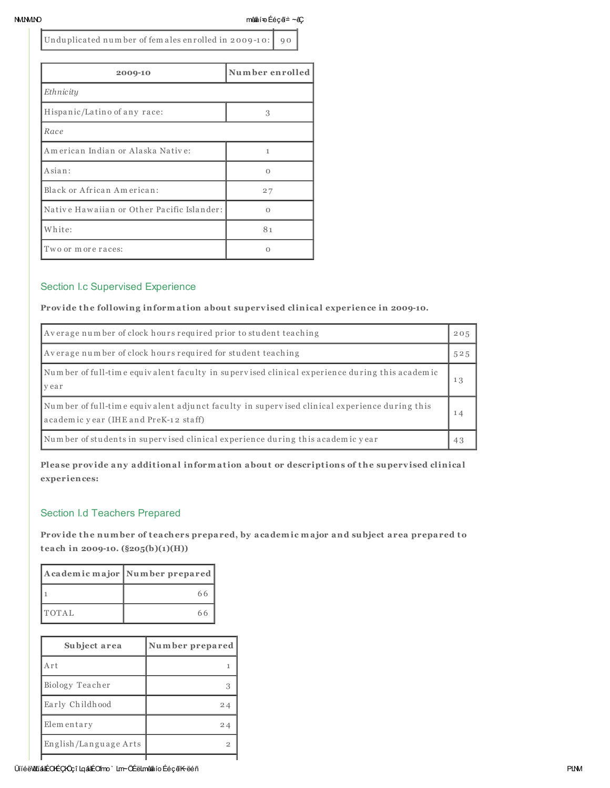NMLNMLNO mêååí=oÉéçã≐ ~êÇ

Unduplicated number of fem ales enrolled in 2009-10: 90

| 2009-10                                    | Number enrolled |
|--------------------------------------------|-----------------|
| Ethnicity                                  |                 |
| Hispanic/Latino of any race:               | 3               |
| Race                                       |                 |
| American Indian or Alaska Native:          | 1               |
| Asian:                                     | $\Omega$        |
| Black or African American:                 | 27              |
| Native Hawaiian or Other Pacific Islander: | $\Omega$        |
| White:                                     | 81              |
| Two or more races:                         | Ω               |

# Section I.c Supervised Experience

## Provide the following information about supervised clinical experience in 2009-10.

| Average number of clock hours required prior to student teaching                                                                      | 205 |
|---------------------------------------------------------------------------------------------------------------------------------------|-----|
| Average number of clock hours required for student teaching                                                                           | 525 |
| Number of full-time equivalent faculty in supervised clinical experience during this academic<br>vear                                 | 13  |
| Number of full-time equivalent adjunct faculty in supervised clinical experience during this<br>academic year (IHE and PreK-12 staff) |     |
| Number of students in supervised clinical experience during this academic year                                                        | 43  |

Please provide any additional information about or descriptions of the supervised clinical experiences:

# Section I.d Teachers Prepared

Provide the number of teachers prepared, by academic major and subject area prepared to teach in 2009-10.  $(\frac{205(b)(1)(H)}{H})$ 

|              | Academic major Number prepared |  |  |  |
|--------------|--------------------------------|--|--|--|
|              | 66                             |  |  |  |
| <b>TOTAL</b> | 66                             |  |  |  |

| Subject area          | Number prepared |  |
|-----------------------|-----------------|--|
| Art                   |                 |  |
| Biology Teacher       |                 |  |
| Early Childhood       | 24              |  |
| Elementary            | 24              |  |
| English/Language Arts |                 |  |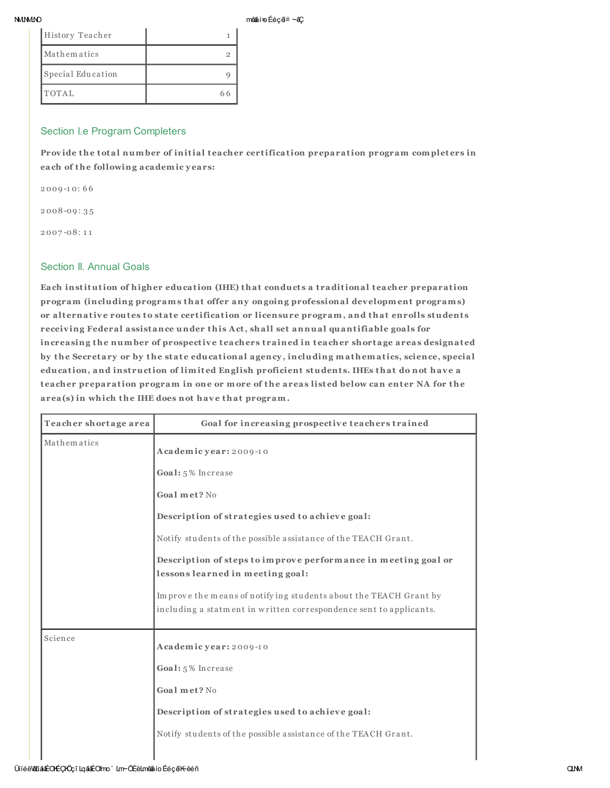#### **MMMO**

mênâí÷o Ééçã≐ ∼êÇ

| History Teacher   |  |
|-------------------|--|
| Mathematics       |  |
| Special Education |  |
| TOTAL             |  |

## Section I.e Program Completers

Provide the total number of initial teacher certification preparation program completers in each of the following academic years:

 $2009 - 10:66$ 

 $2008 - 09:35$ 

 $2007 - 08:11$ 

## **Section II. Annual Goals**

Each institution of higher education (IHE) that conducts a traditional teacher preparation program (including programs that offer any ongoing professional development programs) or alternative routes to state certification or licensure program, and that enrolls students receiving Federal assistance under this Act, shall set annual quantifiable goals for increasing the number of prospective teachers trained in teacher shortage areas designated by the Secretary or by the state educational agency, including mathematics, science, special education, and instruction of limited English proficient students. IHEs that do not have a teacher preparation program in one or more of the areas listed below can enter NA for the area(s) in which the IHE does not have that program.

| Teacher shortage area | Goal for increasing prospective teachers trained                                                                                       |
|-----------------------|----------------------------------------------------------------------------------------------------------------------------------------|
| Mathematics           | Academic year: 2009-10                                                                                                                 |
|                       | Goal: 5% Increase                                                                                                                      |
|                       | Goal met? No                                                                                                                           |
|                       | Description of strategies used to achieve goal:                                                                                        |
|                       | Notify students of the possible assistance of the TEACH Grant.                                                                         |
|                       | Description of steps to improve performance in meeting goal or<br>lessons learned in meeting goal:                                     |
|                       | Improve the means of notifying students about the TEACH Grant by<br>including a statment in written correspondence sent to applicants. |
| Science               | Academic year: 2009-10                                                                                                                 |
|                       | Goal: 5% Increase                                                                                                                      |
|                       | Goal met? No                                                                                                                           |
|                       | Description of strategies used to achieve goal:                                                                                        |
|                       | Notify students of the possible assistance of the TEACH Grant.                                                                         |
|                       |                                                                                                                                        |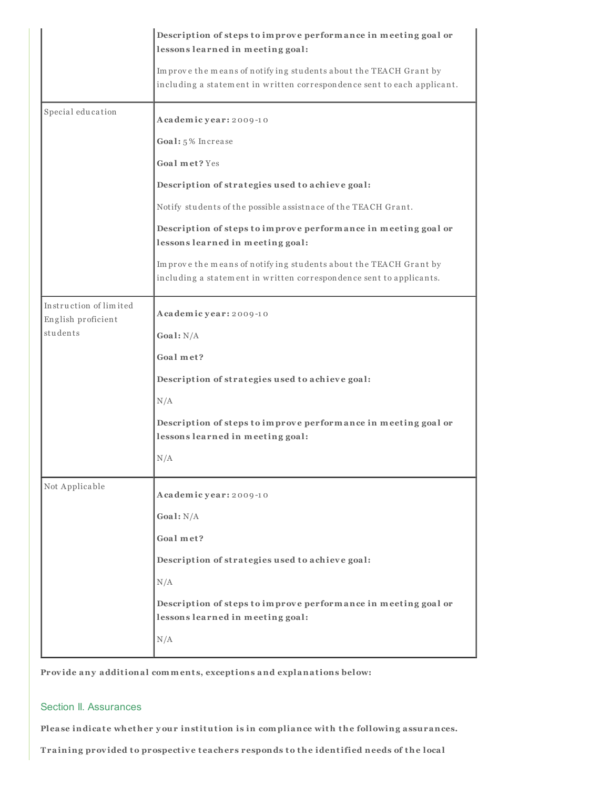|                                              | Description of steps to improve performance in meeting goal or<br>lessons learned in meeting goal:                                          |
|----------------------------------------------|---------------------------------------------------------------------------------------------------------------------------------------------|
|                                              | Improve the means of notifying students about the TEACH Grant by<br>including a statement in written correspondence sent to each applicant. |
| Special education                            | Academic year: 2009-10                                                                                                                      |
|                                              | Goal: 5% Increase                                                                                                                           |
|                                              | Goal met? Yes                                                                                                                               |
|                                              | Description of strategies used to achieve goal:                                                                                             |
|                                              | Notify students of the possible assistnace of the TEACH Grant.                                                                              |
|                                              | Description of steps to improve performance in meeting goal or<br>lessons learned in meeting goal:                                          |
|                                              | Improve the means of notifying students about the TEACH Grant by<br>including a statement in written correspondence sent to applicants.     |
| Instruction of limited<br>English proficient | Academic year: 2009-10                                                                                                                      |
| students                                     | Goal: $N/A$                                                                                                                                 |
|                                              | Goal met?                                                                                                                                   |
|                                              | Description of strategies used to achieve goal:                                                                                             |
|                                              | N/A                                                                                                                                         |
|                                              | Description of steps to improve performance in meeting goal or<br>lessons learned in meeting goal:                                          |
|                                              | N/A                                                                                                                                         |
| Not Applicable                               | Academic year: 2009-10                                                                                                                      |
|                                              | Goal: $N/A$                                                                                                                                 |
|                                              | Goal met?                                                                                                                                   |
|                                              | Description of strategies used to achieve goal:                                                                                             |
|                                              | N/A                                                                                                                                         |
|                                              | Description of steps to improve performance in meeting goal or<br>lessons learned in meeting goal:                                          |
|                                              | N/A                                                                                                                                         |

Provide any additional comments, exceptions and explanations below:

# Section II. Assurances

Please indicate whether your institution is in compliance with the following assurances.

Training provided to prospective teachers responds to the identified needs of the local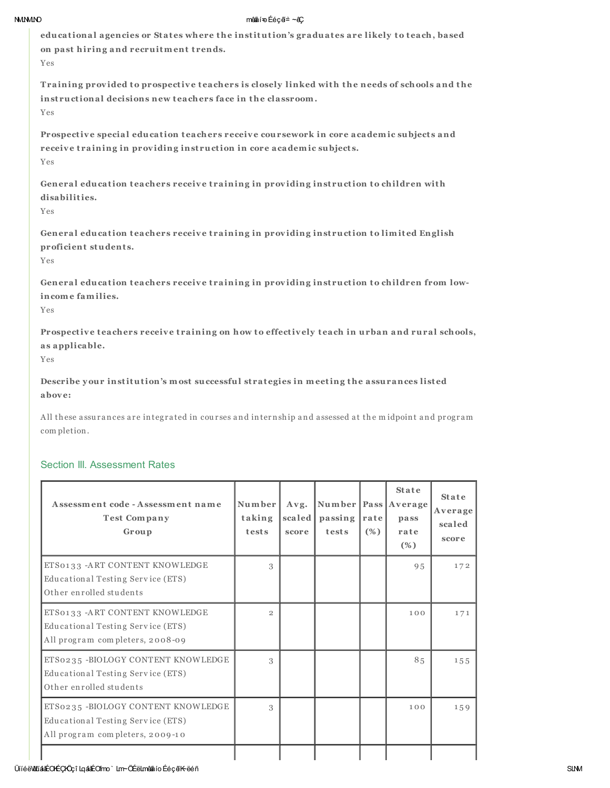#### **NMMMO**

#### mênalí=oÉéçã≐∼êÇ

educational agencies or States where the institution's graduates are likely to teach, based on past hiring and recruitment trends.

Yes

Training provided to prospective teachers is closely linked with the needs of schools and the instructional decisions new teachers face in the classroom. Yes

Prospective special education teachers receive coursework in core academic subjects and receive training in providing instruction in core academic subjects. Yes

General education teachers receive training in providing instruction to children with disabilities.

Yes

General education teachers receive training in providing instruction to limited English proficient students.

Yes

General education teachers receive training in providing instruction to children from lowincome families.

Yes

Prospective teachers receive training on how to effectively teach in urban and rural schools, as applicable.

Yes

Describe your institution's most successful strategies in meeting the assurances listed  $above$ 

All these assurances are integrated in courses and internship and assessed at the midpoint and program completion.

# **Section III. Assessment Rates**

| Assessment code - Assessment name<br><b>Test Company</b><br>Group                                         | Number<br>taking<br>tests | Avg.<br>scaled<br>score | Number   Pass   Average<br>passing<br>tests | rate<br>(%) | <b>State</b><br>pass<br>rate<br>$(\%)$ | <b>State</b><br>Average<br>scaled<br>score |
|-----------------------------------------------------------------------------------------------------------|---------------------------|-------------------------|---------------------------------------------|-------------|----------------------------------------|--------------------------------------------|
| ETS0133 - ART CONTENT KNOWLEDGE<br>Educational Testing Service (ETS)<br>Other enrolled students           | 3                         |                         |                                             |             | 9.5                                    | 172                                        |
| ETS0133 - ART CONTENT KNOWLEDGE<br>Educational Testing Service (ETS)<br>All program completers, 2008-09   | $\overline{2}$            |                         |                                             |             | 100                                    | 171                                        |
| ETS0235-BIOLOGY CONTENT KNOWLEDGE<br>Educational Testing Service (ETS)<br>Other enrolled students         | 3                         |                         |                                             |             | 8.5                                    | 155                                        |
| ETS0235-BIOLOGY CONTENT KNOWLEDGE<br>Educational Testing Service (ETS)<br>All program completers, 2009-10 | 3                         |                         |                                             |             | 100                                    | 159                                        |
|                                                                                                           |                           |                         |                                             |             |                                        |                                            |

## ÜlíéëWLiádÉOKÉÇKÖçî LqádÉOfmo` Lm~ÖÉëLmêdioÉéçãK-ëéñ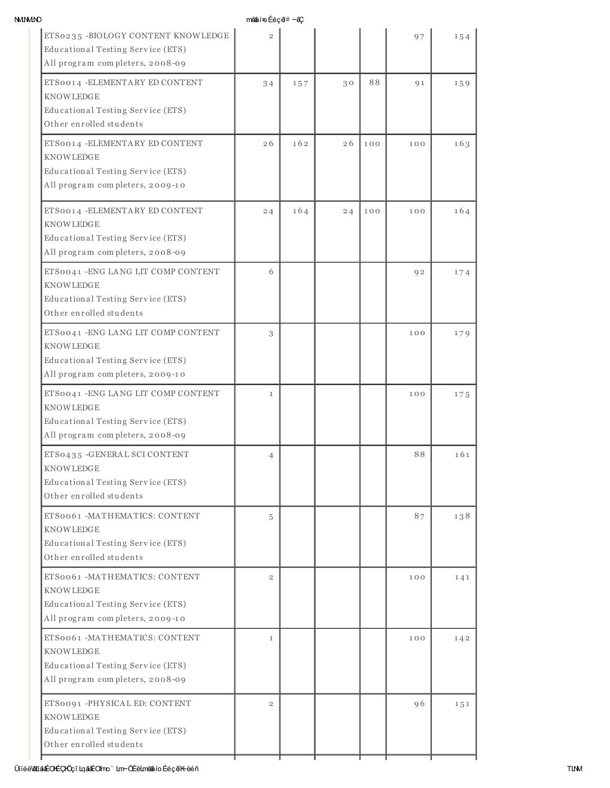| <b>NMININO</b>                                                                                                                  | mênaijon Ééçã≐~êÇ |     |    |     |     |     |
|---------------------------------------------------------------------------------------------------------------------------------|-------------------|-----|----|-----|-----|-----|
| ETS0235 -BIOLOGY CONTENT KNOWLEDGE<br>Educational Testing Service (ETS)<br>All program completers, 2008-09                      | $\overline{2}$    |     |    |     | 97  | 154 |
| ETS0014 - ELEMENTARY ED CONTENT<br><b>KNOWLEDGE</b><br>Educational Testing Service (ETS)<br>Other enrolled students             | 34                | 157 | 30 | 88  | 91  | 159 |
| ETS0014 - ELEMENTA RY ED CONTENT<br><b>KNOWLEDGE</b><br>Educational Testing Service (ETS)<br>All program completers, 2009-10    | 26                | 162 | 26 | 100 | 100 | 163 |
| ETS0014 - ELEMENTARY ED CONTENT<br><b>KNOWLEDGE</b><br>Educational Testing Service (ETS)<br>All program completers, 2008-09     | 24                | 164 | 24 | 100 | 100 | 164 |
| ETS0041 - ENG LANG LIT COMP CONTENT<br><b>KNOWLEDGE</b><br>Educational Testing Service (ETS)<br>Other enrolled students         | 6                 |     |    |     | 92  | 174 |
| ETS0041 - ENG LANG LIT COMP CONTENT<br><b>KNOWLEDGE</b><br>Educational Testing Service (ETS)<br>All program completers, 2009-10 | 3                 |     |    |     | 100 | 179 |
| ETS0041 - ENG LANG LIT COMP CONTENT<br><b>KNOWLEDGE</b><br>Educational Testing Service (ETS)<br>All program completers, 2008-09 | $\mathbf{1}$      |     |    |     | 100 | 175 |
| ETS0435 - GENERAL SCI CONTENT<br><b>KNOWLEDGE</b><br>Educational Testing Service (ETS)<br>Other enrolled students               | 4                 |     |    |     | 88  | 161 |
| ETS0061 - MATHEMATICS: CONTENT<br><b>KNOWLEDGE</b><br>Educational Testing Service (ETS)<br>Other enrolled students              | 5                 |     |    |     | 87  | 138 |
| ETS0061 - MATHEMATICS: CONTENT<br><b>KNOWLEDGE</b><br>Educational Testing Service (ETS)<br>All program completers, 2009-10      | $\overline{2}$    |     |    |     | 100 | 141 |
| ETS0061 -MATHEMATICS: CONTENT<br>KNOWLEDGE<br>Educational Testing Service (ETS)<br>All program completers, 2008-09              | $\mathbf{1}$      |     |    |     | 100 | 142 |
| ETS0091 -PHYSICAL ED: CONTENT<br><b>KNOWLEDGE</b><br>Educational Testing Service (ETS)<br>Other enrolled students               | $\overline{2}$    |     |    |     | 96  | 151 |
|                                                                                                                                 |                   |     |    |     |     |     |

## ÜííéëWLíááÉOKÉÇKÖçî LqááÉOfmo` Lm~ÖÉëLmêáâíoÉéçãK~ëéñ TLMMonare Tumunica Changer TLMMonare Tumunica Changer TLMM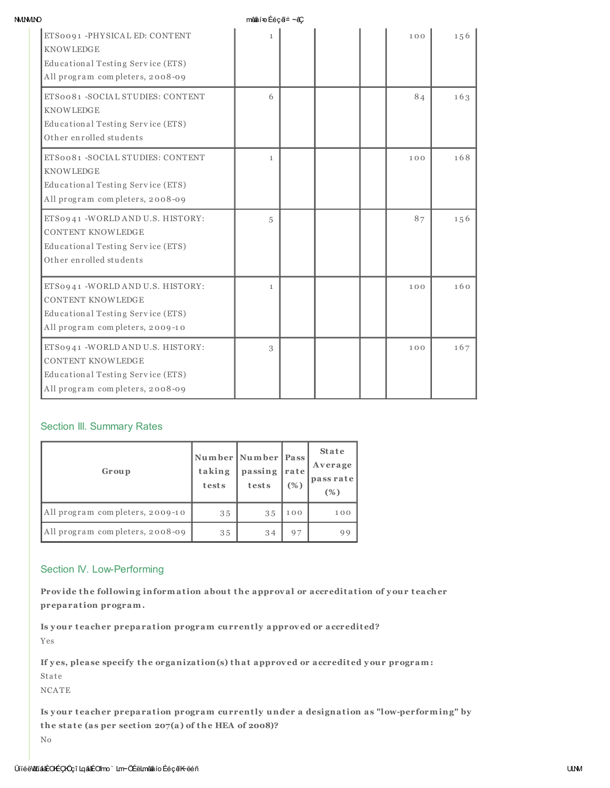| <b>NMIMIND</b> |  |
|----------------|--|
|                |  |

 $m$ ênni $\infty$  féc $a = -a$ C

| ETS0091 -PHYSICAL ED: CONTENT<br><b>KNOWLEDGE</b><br>Educational Testing Service (ETS)                                                | $\mathbf{1}$ |  | 100 | 156 |
|---------------------------------------------------------------------------------------------------------------------------------------|--------------|--|-----|-----|
| All program completers, 2008-09                                                                                                       |              |  |     |     |
| ETS0081 -SOCIAL STUDIES: CONTENT<br><b>KNOWLEDGE</b><br>Educational Testing Service (ETS)<br>Other enrolled students                  | 6            |  | 84  | 163 |
| ETS0081 -SOCIAL STUDIES: CONTENT<br><b>KNOWLEDGE</b><br>Educational Testing Service (ETS)<br>All program completers, 2008-09          | $\mathbf{1}$ |  | 100 | 168 |
| ETS0941 -WORLD AND U.S. HISTORY:<br><b>CONTENT KNOWLEDGE</b><br>Educational Testing Service (ETS)<br>Other enrolled students          | 5            |  | 87  | 156 |
| ETS0941 - WORLD AND U.S. HISTORY:<br><b>CONTENT KNOWLEDGE</b><br>Educational Testing Service (ETS)<br>All program completers, 2009-10 | $\mathbf{1}$ |  | 100 | 160 |
| ETS0941 - WORLD AND U.S. HISTORY:<br><b>CONTENT KNOWLEDGE</b><br>Educational Testing Service (ETS)<br>All program completers, 2008-09 | 3            |  | 100 | 167 |

# Section III. Summary Rates

| Group                           | Number   Number   Pass<br>taking<br>tests | passing<br>tests | rate<br>(% ) | <b>State</b><br>Average<br>pass rate<br>(%) |
|---------------------------------|-------------------------------------------|------------------|--------------|---------------------------------------------|
| All program completers, 2009-10 | 35                                        | 35               | 100          | 100                                         |
| All program completers, 2008-09 | 35                                        | 34               | 97           | 99                                          |

## Section IV. Low-Performing

Provide the following information about the approval or accreditation of your teacher preparation program.

Is your teacher preparation program currently approved or accredited? Yes

If yes, please specify the organization(s) that approved or accredited your program: Sta te

NCATE

Is y our t eacher preparation program currently under a designation as "low-performing" by the state (as per section  $207(a)$  of the HEA of 2008)? No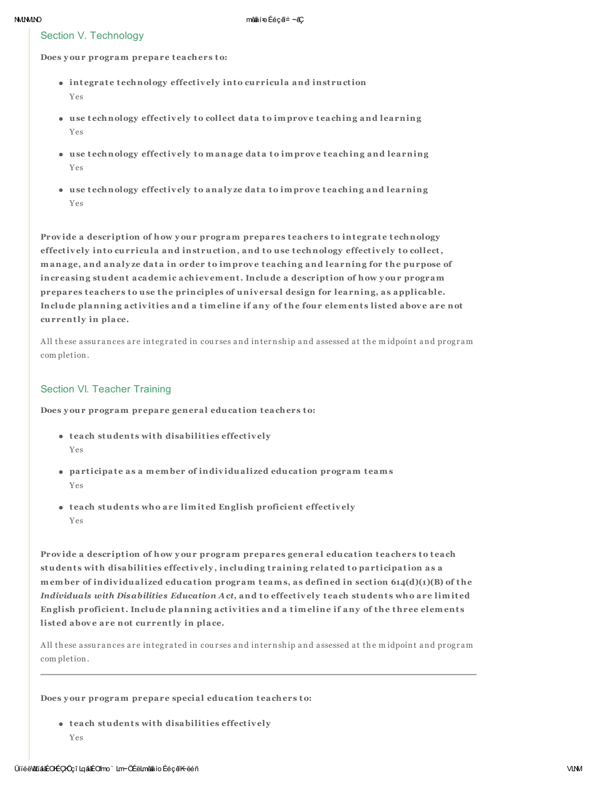## Section V. Technology

Does your program prepare teachers to:

- integrate technology effectively into curricula and instruction Yes
- use technology effectively to collect data to improve teaching and learning Yes
- use technology effectively to manage data to improve teaching and learning Yes
- use technology effectively to analyze data to improve teaching and learning  $Y_{PS}$

Provide a description of how your program prepares teachers to integrate technology effectively into curricula and instruction, and to use technology effectively to collect, manage, and analyze data in order to improve teaching and learning for the purpose of increasing student academic achievement. Include a description of how your program prepares teachers to use the principles of universal design for learning, as applicable. Include planning activities and a timeline if any of the four elements listed above are not currently in place.

All these assurances are integrated in courses and internship and assessed at the midpoint and program completion.

## Section VI. Teacher Training

Does your program prepare general education teachers to:

- teach students with disabilities effectively Yes
- participate as a member of individualized education program teams Yes
- teach students who are limited English proficient effectively Yes

Provide a description of how your program prepares general education teachers to teach students with disabilities effectively, including training related to participation as a member of individualized education program teams, as defined in section  $614(d)(1)(B)$  of the Individuals with Disabilities Education Act, and to effectively teach students who are limited English proficient. Include planning activities and a timeline if any of the three elements listed above are not currently in place.

All these assurances are integrated in courses and internship and assessed at the midpoint and program completion.

Does your program prepare special education teachers to:

• teach students with disabilities effectively Yes